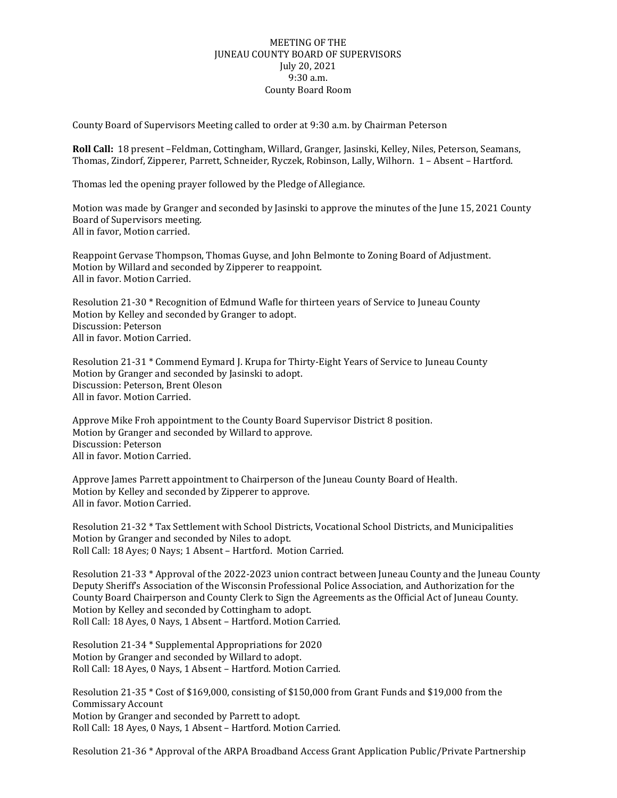## MEETING OF THE JUNEAU COUNTY BOARD OF SUPERVISORS July 20, 2021 9:30 a.m. County Board Room

County Board of Supervisors Meeting called to order at 9:30 a.m. by Chairman Peterson

**Roll Call:** 18 present –Feldman, Cottingham, Willard, Granger, Jasinski, Kelley, Niles, Peterson, Seamans, Thomas, Zindorf, Zipperer, Parrett, Schneider, Ryczek, Robinson, Lally, Wilhorn. 1 – Absent – Hartford.

Thomas led the opening prayer followed by the Pledge of Allegiance.

Motion was made by Granger and seconded by Jasinski to approve the minutes of the June 15, 2021 County Board of Supervisors meeting. All in favor, Motion carried.

Reappoint Gervase Thompson, Thomas Guyse, and John Belmonte to Zoning Board of Adjustment. Motion by Willard and seconded by Zipperer to reappoint. All in favor. Motion Carried.

Resolution 21-30 \* Recognition of Edmund Wafle for thirteen years of Service to Juneau County Motion by Kelley and seconded by Granger to adopt. Discussion: Peterson All in favor. Motion Carried.

Resolution 21-31 \* Commend Eymard J. Krupa for Thirty-Eight Years of Service to Juneau County Motion by Granger and seconded by Jasinski to adopt. Discussion: Peterson, Brent Oleson All in favor. Motion Carried.

Approve Mike Froh appointment to the County Board Supervisor District 8 position. Motion by Granger and seconded by Willard to approve. Discussion: Peterson All in favor. Motion Carried.

Approve James Parrett appointment to Chairperson of the Juneau County Board of Health. Motion by Kelley and seconded by Zipperer to approve. All in favor. Motion Carried.

Resolution 21-32 \* Tax Settlement with School Districts, Vocational School Districts, and Municipalities Motion by Granger and seconded by Niles to adopt. Roll Call: 18 Ayes; 0 Nays; 1 Absent – Hartford. Motion Carried.

Resolution 21-33 \* Approval of the 2022-2023 union contract between Juneau County and the Juneau County Deputy Sheriff's Association of the Wisconsin Professional Police Association, and Authorization for the County Board Chairperson and County Clerk to Sign the Agreements as the Official Act of Juneau County. Motion by Kelley and seconded by Cottingham to adopt. Roll Call: 18 Ayes, 0 Nays, 1 Absent – Hartford. Motion Carried.

Resolution 21-34 \* Supplemental Appropriations for 2020 Motion by Granger and seconded by Willard to adopt. Roll Call: 18 Ayes, 0 Nays, 1 Absent – Hartford. Motion Carried.

Resolution 21-35 \* Cost of \$169,000, consisting of \$150,000 from Grant Funds and \$19,000 from the Commissary Account Motion by Granger and seconded by Parrett to adopt. Roll Call: 18 Ayes, 0 Nays, 1 Absent – Hartford. Motion Carried.

Resolution 21-36 \* Approval of the ARPA Broadband Access Grant Application Public/Private Partnership